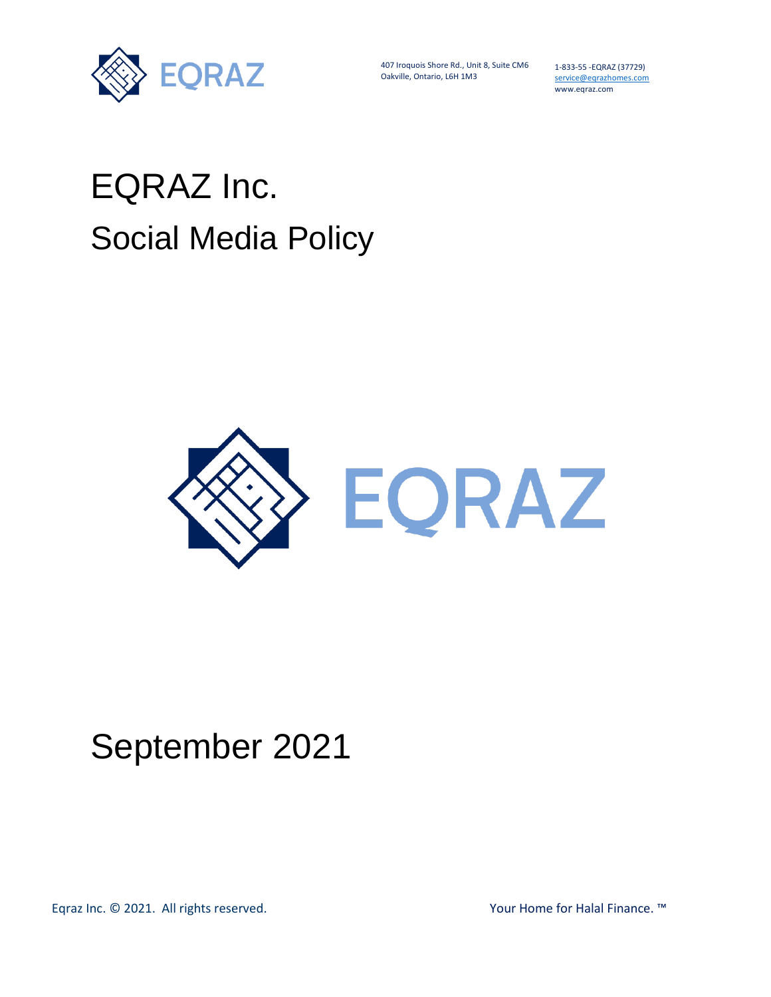

407 Iroquois Shore Rd., Unit 8, Suite CM6 Oakville, Ontario, L6H 1M3

1-833-55 -EQRAZ (37729) service@eqrazhomes.com www.eqraz.com

## EQRAZ Inc. Social Media Policy



## September 2021

Eqraz Inc. © 2021. All rights reserved. The second test of the Mour Home for Halal Finance. ™